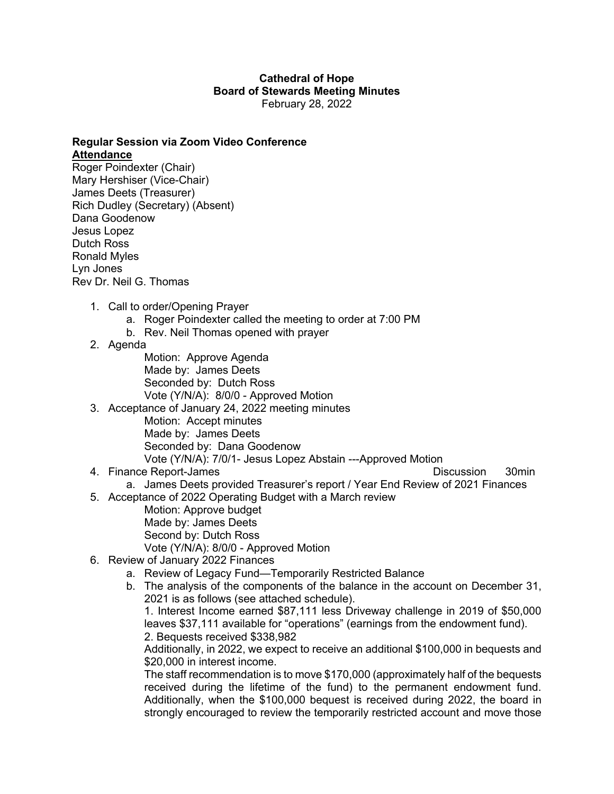## **Cathedral of Hope Board of Stewards Meeting Minutes** February 28, 2022

## **Regular Session via Zoom Video Conference Attendance**

Roger Poindexter (Chair) Mary Hershiser (Vice-Chair) James Deets (Treasurer) Rich Dudley (Secretary) (Absent) Dana Goodenow Jesus Lopez Dutch Ross Ronald Myles Lyn Jones Rev Dr. Neil G. Thomas

- 1. Call to order/Opening Prayer
	- a. Roger Poindexter called the meeting to order at 7:00 PM
	- b. Rev. Neil Thomas opened with prayer
- 2. Agenda
	- Motion: Approve Agenda Made by: James Deets Seconded by: Dutch Ross Vote (Y/N/A): 8/0/0 - Approved Motion
- 3. Acceptance of January 24, 2022 meeting minutes Motion: Accept minutes Made by: James Deets Seconded by: Dana Goodenow Vote (Y/N/A): 7/0/1- Jesus Lopez Abstain ---Approved Motion
- 4. Finance Report-James **Discussion** 30min

- a. James Deets provided Treasurer's report / Year End Review of 2021 Finances
- 5. Acceptance of 2022 Operating Budget with a March review
	- Motion: Approve budget Made by: James Deets Second by: Dutch Ross
	- Vote (Y/N/A): 8/0/0 Approved Motion
- 6. Review of January 2022 Finances
	- a. Review of Legacy Fund—Temporarily Restricted Balance
	- b. The analysis of the components of the balance in the account on December 31, 2021 is as follows (see attached schedule).

1. Interest Income earned \$87,111 less Driveway challenge in 2019 of \$50,000 leaves \$37,111 available for "operations" (earnings from the endowment fund). 2. Bequests received \$338,982

Additionally, in 2022, we expect to receive an additional \$100,000 in bequests and \$20,000 in interest income.

The staff recommendation is to move \$170,000 (approximately half of the bequests received during the lifetime of the fund) to the permanent endowment fund. Additionally, when the \$100,000 bequest is received during 2022, the board in strongly encouraged to review the temporarily restricted account and move those